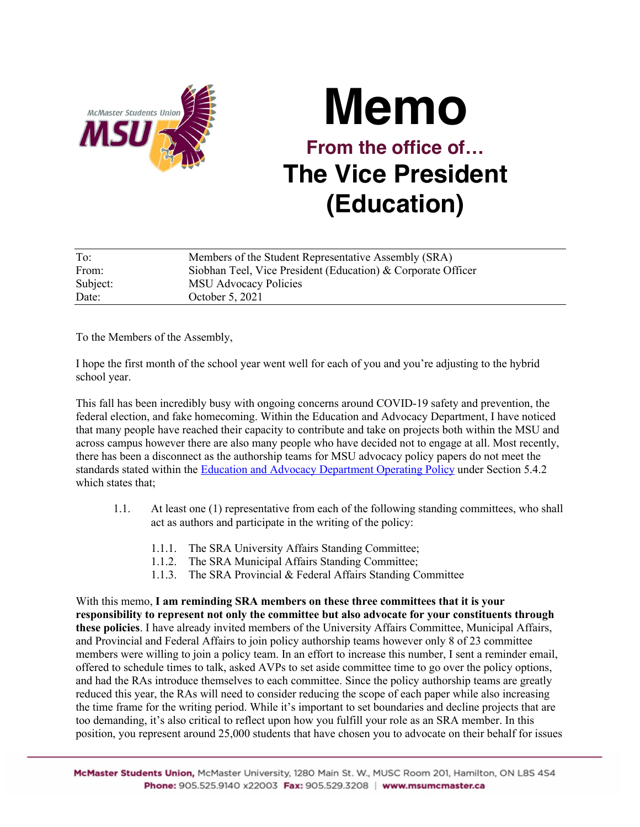

## **Memo From the office of… The Vice President (Education)**

| To:      | Members of the Student Representative Assembly (SRA)         |
|----------|--------------------------------------------------------------|
| From:    | Siobhan Teel, Vice President (Education) & Corporate Officer |
| Subject: | <b>MSU Advocacy Policies</b>                                 |
| Date:    | October 5, 2021                                              |

To the Members of the Assembly,

I hope the first month of the school year went well for each of you and you're adjusting to the hybrid school year.

This fall has been incredibly busy with ongoing concerns around COVID-19 safety and prevention, the federal election, and fake homecoming. Within the Education and Advocacy Department, I have noticed that many people have reached their capacity to contribute and take on projects both within the MSU and across campus however there are also many people who have decided not to engage at all. Most recently, there has been a disconnect as the authorship teams for MSU advocacy policy papers do not meet the standards stated within the Education and Advocacy Department Operating Policy under Section 5.4.2 which states that:

- 1.1. At least one (1) representative from each of the following standing committees, who shall act as authors and participate in the writing of the policy:
	- 1.1.1. The SRA University Affairs Standing Committee;
	- 1.1.2. The SRA Municipal Affairs Standing Committee;
	- 1.1.3. The SRA Provincial & Federal Affairs Standing Committee

With this memo, **I am reminding SRA members on these three committees that it is your responsibility to represent not only the committee but also advocate for your constituents through these policies**. I have already invited members of the University Affairs Committee, Municipal Affairs, and Provincial and Federal Affairs to join policy authorship teams however only 8 of 23 committee members were willing to join a policy team. In an effort to increase this number, I sent a reminder email, offered to schedule times to talk, asked AVPs to set aside committee time to go over the policy options, and had the RAs introduce themselves to each committee. Since the policy authorship teams are greatly reduced this year, the RAs will need to consider reducing the scope of each paper while also increasing the time frame for the writing period. While it's important to set boundaries and decline projects that are too demanding, it's also critical to reflect upon how you fulfill your role as an SRA member. In this position, you represent around 25,000 students that have chosen you to advocate on their behalf for issues